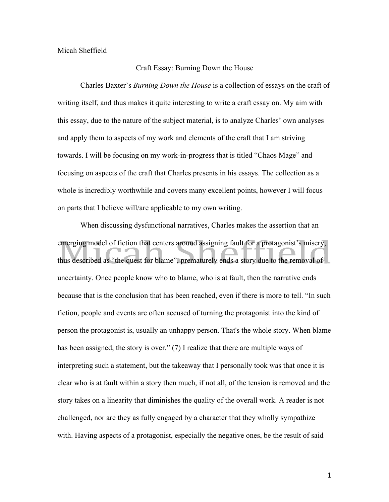## Micah Sheffield

## Craft Essay: Burning Down the House

Charles Baxter's *Burning Down the House* is a collection of essays on the craft of writing itself, and thus makes it quite interesting to write a craft essay on. My aim with this essay, due to the nature of the subject material, is to analyze Charles' own analyses and apply them to aspects of my work and elements of the craft that I am striving towards. I will be focusing on my work-in-progress that is titled "Chaos Mage" and focusing on aspects of the craft that Charles presents in his essays. The collection as a whole is incredibly worthwhile and covers many excellent points, however I will focus on parts that I believe will/are applicable to my own writing.

When discussing dysfunctional narratives, Charles makes the assertion that an emerging model of fiction that centers around assigning fault for a protagonist's misery, thus described as "the quest for blame", prematurely ends a story due to the removal of uncertainty. Once people know who to blame, who is at fault, then the narrative ends because that is the conclusion that has been reached, even if there is more to tell. "In such fiction, people and events are often accused of turning the protagonist into the kind of person the protagonist is, usually an unhappy person. That's the whole story. When blame has been assigned, the story is over." (7) I realize that there are multiple ways of interpreting such a statement, but the takeaway that I personally took was that once it is clear who is at fault within a story then much, if not all, of the tension is removed and the story takes on a linearity that diminishes the quality of the overall work. A reader is not challenged, nor are they as fully engaged by a character that they wholly sympathize with. Having aspects of a protagonist, especially the negative ones, be the result of said

1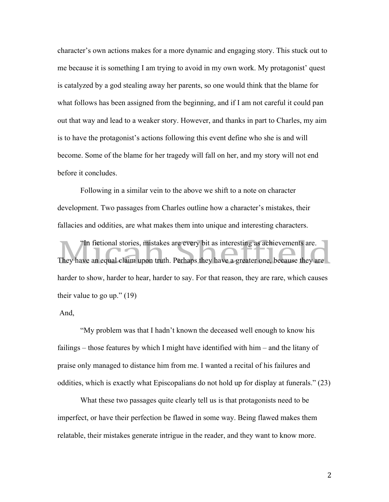character's own actions makes for a more dynamic and engaging story. This stuck out to me because it is something I am trying to avoid in my own work. My protagonist' quest is catalyzed by a god stealing away her parents, so one would think that the blame for what follows has been assigned from the beginning, and if I am not careful it could pan out that way and lead to a weaker story. However, and thanks in part to Charles, my aim is to have the protagonist's actions following this event define who she is and will become. Some of the blame for her tragedy will fall on her, and my story will not end before it concludes.

Following in a similar vein to the above we shift to a note on character development. Two passages from Charles outline how a character's mistakes, their fallacies and oddities, are what makes them into unique and interesting characters.

"In fictional stories, mistakes are every bit as interesting as achievements are. They have an equal claim upon truth. Perhaps they have a greater one, because they are harder to show, harder to hear, harder to say. For that reason, they are rare, which causes their value to go up." (19)

## And,

"My problem was that I hadn't known the deceased well enough to know his failings – those features by which I might have identified with him – and the litany of praise only managed to distance him from me. I wanted a recital of his failures and oddities, which is exactly what Episcopalians do not hold up for display at funerals." (23)

What these two passages quite clearly tell us is that protagonists need to be imperfect, or have their perfection be flawed in some way. Being flawed makes them relatable, their mistakes generate intrigue in the reader, and they want to know more.